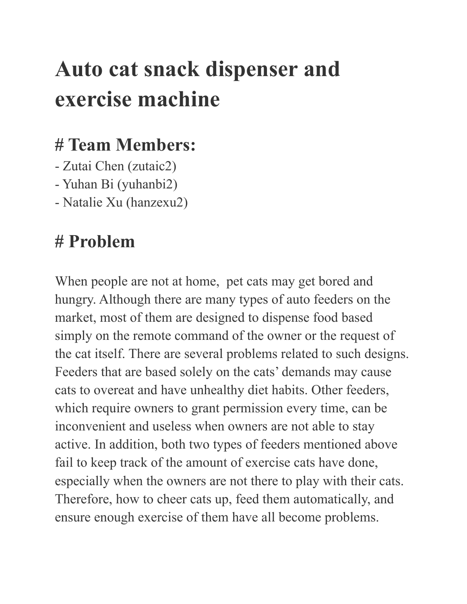# **Auto cat snack dispenser and exercise machine**

#### **# Team Members:**

- Zutai Chen (zutaic2)
- Yuhan Bi (yuhanbi2)
- Natalie Xu (hanzexu2)

## **# Problem**

When people are not at home, pet cats may get bored and hungry. Although there are many types of auto feeders on the market, most of them are designed to dispense food based simply on the remote command of the owner or the request of the cat itself. There are several problems related to such designs. Feeders that are based solely on the cats' demands may cause cats to overeat and have unhealthy diet habits. Other feeders, which require owners to grant permission every time, can be inconvenient and useless when owners are not able to stay active. In addition, both two types of feeders mentioned above fail to keep track of the amount of exercise cats have done, especially when the owners are not there to play with their cats. Therefore, how to cheer cats up, feed them automatically, and ensure enough exercise of them have all become problems.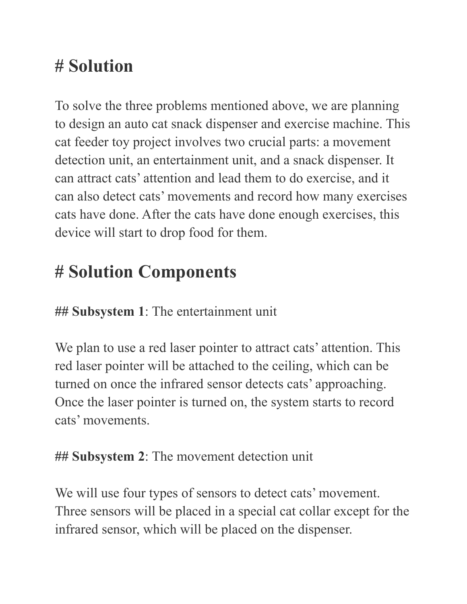# **# Solution**

To solve the three problems mentioned above, we are planning to design an auto cat snack dispenser and exercise machine. This cat feeder toy project involves two crucial parts: a movement detection unit, an entertainment unit, and a snack dispenser. It can attract cats' attention and lead them to do exercise, and it can also detect cats' movements and record how many exercises cats have done. After the cats have done enough exercises, this device will start to drop food for them.

## **# Solution Components**

**## Subsystem 1**: The entertainment unit

We plan to use a red laser pointer to attract cats' attention. This red laser pointer will be attached to the ceiling, which can be turned on once the infrared sensor detects cats' approaching. Once the laser pointer is turned on, the system starts to record cats' movements.

#### **## Subsystem 2**: The movement detection unit

We will use four types of sensors to detect cats' movement. Three sensors will be placed in a special cat collar except for the infrared sensor, which will be placed on the dispenser.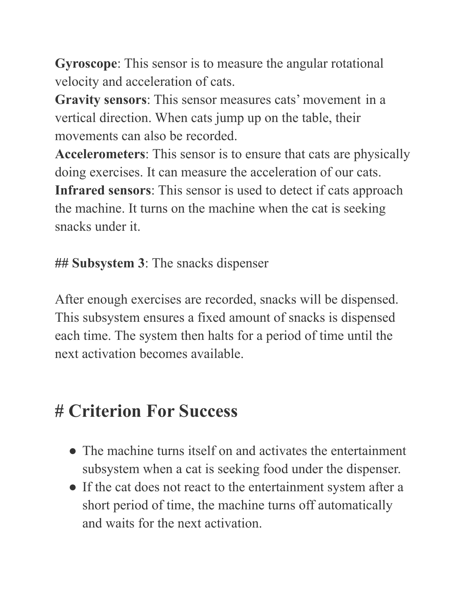**Gyroscope**: This sensor is to measure the angular rotational velocity and acceleration of cats.

**Gravity sensors**: This sensor measures cats' movement in a vertical direction. When cats jump up on the table, their movements can also be recorded.

**Accelerometers**: This sensor is to ensure that cats are physically doing exercises. It can measure the acceleration of our cats. **Infrared sensors**: This sensor is used to detect if cats approach the machine. It turns on the machine when the cat is seeking snacks under it.

**## Subsystem 3**: The snacks dispenser

After enough exercises are recorded, snacks will be dispensed. This subsystem ensures a fixed amount of snacks is dispensed each time. The system then halts for a period of time until the next activation becomes available.

#### **# Criterion For Success**

- The machine turns itself on and activates the entertainment subsystem when a cat is seeking food under the dispenser.
- If the cat does not react to the entertainment system after a short period of time, the machine turns off automatically and waits for the next activation.